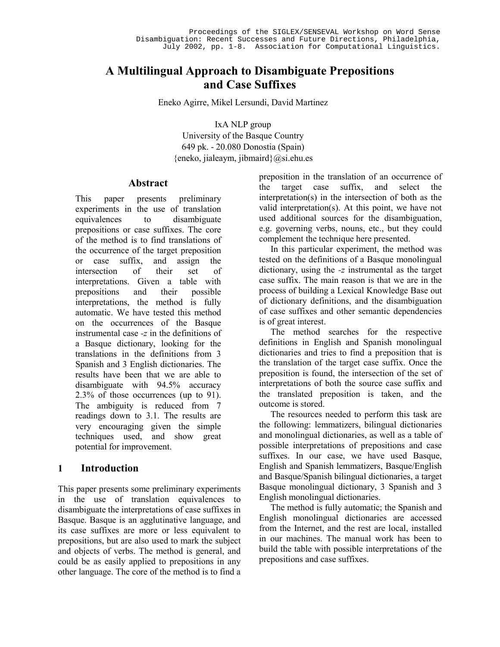# **A Multilingual Approach to Disambiguate Prepositions and Case Suffixes**

Eneko Agirre, Mikel Lersundi, David Martinez

IxA NLP group University of the Basque Country 649 pk. - 20.080 Donostia (Spain)  ${eneko, ialeaym, iibmail}$  $@si.ehu.es$ 

#### **Abstract**

This paper presents preliminary experiments in the use of translation equivalences to disambiguate prepositions or case suffixes. The core of the method is to find translations of the occurrence of the target preposition or case suffix, and assign the intersection of their set of interpretations. Given a table with prepositions and their possible interpretations, the method is fully automatic. We have tested this method on the occurrences of the Basque instrumental case *-z* in the definitions of a Basque dictionary, looking for the translations in the definitions from 3 Spanish and 3 English dictionaries. The results have been that we are able to disambiguate with 94.5% accuracy 2.3% of those occurrences (up to 91). The ambiguity is reduced from 7 readings down to 3.1. The results are very encouraging given the simple techniques used, and show great potential for improvement.

# **1 Introduction**

This paper presents some preliminary experiments in the use of translation equivalences to disambiguate the interpretations of case suffixes in Basque. Basque is an agglutinative language, and its case suffixes are more or less equivalent to prepositions, but are also used to mark the subject and objects of verbs. The method is general, and could be as easily applied to prepositions in any other language. The core of the method is to find a

preposition in the translation of an occurrence of the target case suffix, and select the interpretation(s) in the intersection of both as the valid interpretation(s). At this point, we have not used additional sources for the disambiguation, e.g. governing verbs, nouns, etc., but they could complement the technique here presented.

In this particular experiment, the method was tested on the definitions of a Basque monolingual dictionary, using the *-z* instrumental as the target case suffix. The main reason is that we are in the process of building a Lexical Knowledge Base out of dictionary definitions, and the disambiguation of case suffixes and other semantic dependencies is of great interest.

The method searches for the respective definitions in English and Spanish monolingual dictionaries and tries to find a preposition that is the translation of the target case suffix. Once the preposition is found, the intersection of the set of interpretations of both the source case suffix and the translated preposition is taken, and the outcome is stored.

The resources needed to perform this task are the following: lemmatizers, bilingual dictionaries and monolingual dictionaries, as well as a table of possible interpretations of prepositions and case suffixes. In our case, we have used Basque, English and Spanish lemmatizers, Basque/English and Basque/Spanish bilingual dictionaries, a target Basque monolingual dictionary, 3 Spanish and 3 English monolingual dictionaries.

The method is fully automatic; the Spanish and English monolingual dictionaries are accessed from the Internet, and the rest are local, installed in our machines. The manual work has been to build the table with possible interpretations of the prepositions and case suffixes.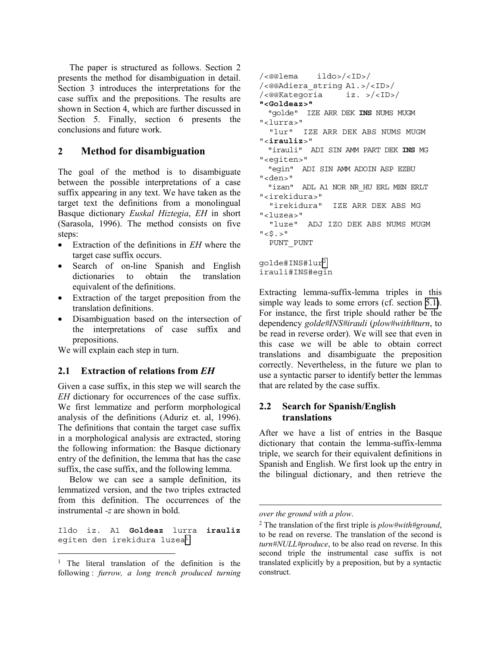<span id="page-1-0"></span>The paper is structured as follows. Section 2 presents the method for disambiguation in detail. Section 3 introduces the interpretations for the case suffix and the prepositions. The results are shown in Section 4, which are further discussed in Section 5. Finally, section 6 presents the conclusions and future work.

### **2 Method for disambiguation**

The goal of the method is to disambiguate between the possible interpretations of a case suffix appearing in any text. We have taken as the target text the definitions from a monolingual Basque dictionary *Euskal Hiztegia*, *EH* in short (Sarasola, 1996). The method consists on five steps:

- Extraction of the definitions in *EH* where the target case suffix occurs.
- Search of on-line Spanish and English dictionaries to obtain the translation equivalent of the definitions.
- Extraction of the target preposition from the translation definitions.
- Disambiguation based on the intersection of the interpretations of case suffix and prepositions.

We will explain each step in turn.

#### **2.1 Extraction of relations from** *EH*

Given a case suffix, in this step we will search the *EH* dictionary for occurrences of the case suffix. We first lemmatize and perform morphological analysis of the definitions (Aduriz et. al, 1996). The definitions that contain the target case suffix in a morphological analysis are extracted, storing the following information: the Basque dictionary entry of the definition, the lemma that has the case suffix, the case suffix, and the following lemma.

Below we can see a sample definition, its lemmatized version, and the two triples extracted from this definition. The occurrences of the instrumental *-z* are shown in bold.

Ildo iz. A1 **Goldeaz** lurra **irauliz** egiten den irekidura luzea<sup>1</sup>

l

```
/<@@lema ildo>/<ID>/ 
/<@@Adiera_string A1.>/<ID>/ 
/<@@Kategoria iz. >/<ID>/ 
"<Goldeaz>" 
   "golde" IZE ARR DEK INS NUMS MUGM 
"<lurra>" 
   "lur" IZE ARR DEK ABS NUMS MUGM 
"<irauliz>" 
   "irauli" ADI SIN AMM PART DEK INS MG 
"<egiten>" 
   "egin" ADI SIN AMM ADOIN ASP EZBU 
"<den>" 
  "izan" ADL A1 NOR NR HU ERL MEN ERLT
"<irekidura>" 
   "irekidura" IZE ARR DEK ABS MG 
"<luzea>" 
   "luze" ADJ IZO DEK ABS NUMS MUGM 
" < \frac{8}{5}. >"
   PUNT_PUNT 
golde#INS#lur2
```
Extracting lemma-suffix-lemma triples in this simple way leads to some errors (cf. section [5.1\)](#page-5-0). For instance, the first triple should rather be the dependency *golde#INS#irauli* (*plow#with#turn*, to be read in reverse order). We will see that even in this case we will be able to obtain correct translations and disambiguate the preposition correctly. Nevertheless, in the future we plan to use a syntactic parser to identify better the lemmas that are related by the case suffix.

### **2.2 Search for Spanish/English translations**

After we have a list of entries in the Basque dictionary that contain the lemma-suffix-lemma triple, we search for their equivalent definitions in Spanish and English. We first look up the entry in the bilingual dictionary, and then retrieve the

l

irauli#INS#egin

<sup>&</sup>lt;sup>1</sup> The literal translation of the definition is the following : *furrow, a long trench produced turning* 

*over the ground with a plow*.

<sup>2</sup> The translation of the first triple is *plow#with#ground*, to be read on reverse. The translation of the second is *turn#NULL#produce*, to be also read on reverse. In this second triple the instrumental case suffix is not translated explicitly by a preposition, but by a syntactic construct.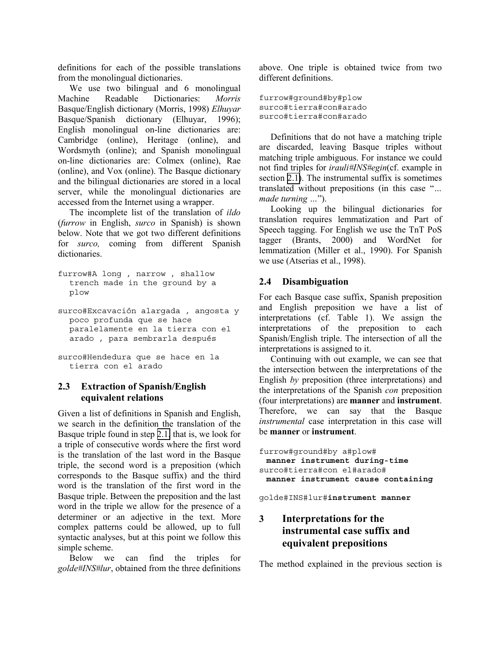definitions for each of the possible translations from the monolingual dictionaries.

We use two bilingual and 6 monolingual Machine Readable Dictionaries: *Morris* Basque/English dictionary (Morris, 1998) *Elhuyar*  Basque/Spanish dictionary (Elhuyar, 1996); English monolingual on-line dictionaries are: Cambridge (online), Heritage (online), and Wordsmyth (online); and Spanish monolingual on-line dictionaries are: Colmex (online), Rae (online), and Vox (online). The Basque dictionary and the bilingual dictionaries are stored in a local server, while the monolingual dictionaries are accessed from the Internet using a wrapper.

The incomplete list of the translation of *ildo* (*furrow* in English, *surco* in Spanish) is shown below. Note that we got two different definitions for *surco,* coming from different Spanish dictionaries.

furrow#A long , narrow , shallow trench made in the ground by a plow

surco#Excavación alargada , angosta y poco profunda que se hace paralelamente en la tierra con el arado , para sembrarla después

```
surco#Hendedura que se hace en la 
  tierra con el arado
```
### **2.3 Extraction of Spanish/English equivalent relations**

Given a list of definitions in Spanish and English, we search in the definition the translation of the Basque triple found in step [2.1,](#page-1-0) that is, we look for a triple of consecutive words where the first word is the translation of the last word in the Basque triple, the second word is a preposition (which corresponds to the Basque suffix) and the third word is the translation of the first word in the Basque triple. Between the preposition and the last word in the triple we allow for the presence of a determiner or an adjective in the text. More complex patterns could be allowed, up to full syntactic analyses, but at this point we follow this simple scheme.

Below we can find the triples for *golde#INS#lur*, obtained from the three definitions above. One triple is obtained twice from two different definitions.

```
furrow#ground#by#plow 
surco#tierra#con#arado 
surco#tierra#con#arado
```
Definitions that do not have a matching triple are discarded, leaving Basque triples without matching triple ambiguous. For instance we could not find triples for *irauli#INS#egin*(cf. example in section [2.1\)](#page-1-0). The instrumental suffix is sometimes translated without prepositions (in this case "*… made turning …*").

Looking up the bilingual dictionaries for translation requires lemmatization and Part of Speech tagging. For English we use the TnT PoS tagger (Brants, 2000) and WordNet for lemmatization (Miller et al., 1990). For Spanish we use (Atserias et al., 1998).

### **2.4 Disambiguation**

For each Basque case suffix, Spanish preposition and English preposition we have a list of interpretations (cf. Table 1). We assign the interpretations of the preposition to each Spanish/English triple. The intersection of all the interpretations is assigned to it.

Continuing with out example, we can see that the intersection between the interpretations of the English *by* preposition (three interpretations) and the interpretations of the Spanish *con* preposition (four interpretations) are **manner** and **instrument**. Therefore, we can say that the Basque *instrumental* case interpretation in this case will be **manner** or **instrument**.

furrow#ground#by a#plow# **manner instrument during-time** surco#tierra#con el#arado# **manner instrument cause containing**

golde#INS#lur#**instrument manner**

# **3 Interpretations for the instrumental case suffix and equivalent prepositions**

The method explained in the previous section is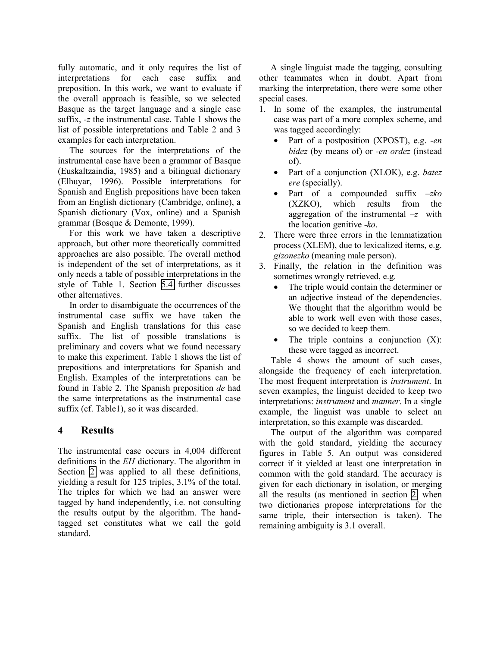fully automatic, and it only requires the list of interpretations for each case suffix and preposition. In this work, we want to evaluate if the overall approach is feasible, so we selected Basque as the target language and a single case suffix, *-z* the instrumental case. Table 1 shows the list of possible interpretations and Table 2 and 3 examples for each interpretation.

The sources for the interpretations of the instrumental case have been a grammar of Basque (Euskaltzaindia, 1985) and a bilingual dictionary (Elhuyar, 1996). Possible interpretations for Spanish and English prepositions have been taken from an English dictionary (Cambridge, online), a Spanish dictionary (Vox, online) and a Spanish grammar (Bosque & Demonte, 1999).

For this work we have taken a descriptive approach, but other more theoretically committed approaches are also possible. The overall method is independent of the set of interpretations, as it only needs a table of possible interpretations in the style of Table 1. Section [5.4](#page-6-0) further discusses other alternatives.

In order to disambiguate the occurrences of the instrumental case suffix we have taken the Spanish and English translations for this case suffix. The list of possible translations is preliminary and covers what we found necessary to make this experiment. Table 1 shows the list of prepositions and interpretations for Spanish and English. Examples of the interpretations can be found in Table 2. The Spanish preposition *de* had the same interpretations as the instrumental case suffix (cf. Table1), so it was discarded.

# **4 Results**

The instrumental case occurs in 4,004 different definitions in the *EH* dictionary. The algorithm in Section [2](#page-1-0) was applied to all these definitions, yielding a result for 125 triples, 3.1% of the total. The triples for which we had an answer were tagged by hand independently, i.e. not consulting the results output by the algorithm. The handtagged set constitutes what we call the gold standard.

A single linguist made the tagging, consulting other teammates when in doubt. Apart from marking the interpretation, there were some other special cases.

- 1. In some of the examples, the instrumental case was part of a more complex scheme, and was tagged accordingly:
	- Part of a postposition (XPOST), e.g. *-en bidez* (by means of) or *-en ordez* (instead of).
	- Part of a conjunction (XLOK), e.g. *batez ere* (specially).
	- Part of a compounded suffix –*zko* (XZKO), which results from the aggregation of the instrumental *–z* with the location genitive -*ko*.
- 2. There were three errors in the lemmatization process (XLEM), due to lexicalized items, e.g. *gizonezko* (meaning male person).
- 3. Finally, the relation in the definition was sometimes wrongly retrieved, e.g.
	- The triple would contain the determiner or an adjective instead of the dependencies. We thought that the algorithm would be able to work well even with those cases, so we decided to keep them.
	- The triple contains a conjunction  $(X)$ : these were tagged as incorrect.

Table 4 shows the amount of such cases, alongside the frequency of each interpretation. The most frequent interpretation is *instrument*. In seven examples, the linguist decided to keep two interpretations: *instrument* and *manner*. In a single example, the linguist was unable to select an interpretation, so this example was discarded.

The output of the algorithm was compared with the gold standard, yielding the accuracy figures in Table 5. An output was considered correct if it yielded at least one interpretation in common with the gold standard. The accuracy is given for each dictionary in isolation, or merging all the results (as mentioned in section [2,](#page-1-0) when two dictionaries propose interpretations for the same triple, their intersection is taken). The remaining ambiguity is 3.1 overall.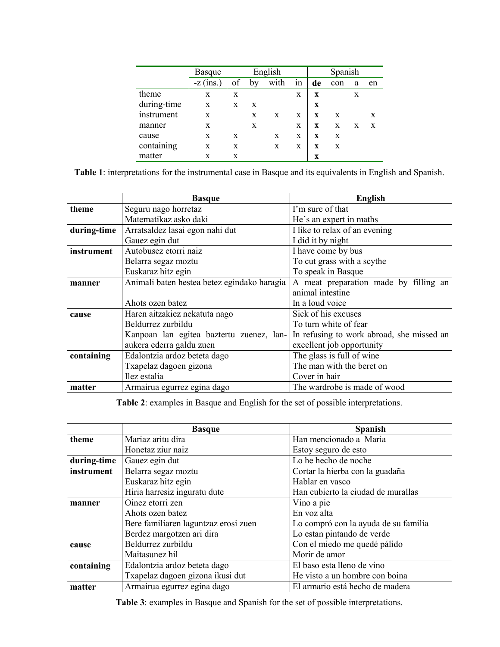|             | <b>Basque</b> | English |    |      | Spanish     |    |     |   |    |
|-------------|---------------|---------|----|------|-------------|----|-----|---|----|
|             | $-z$ (ins.)   | of      | by | with | 1n          | de | con | a | en |
| theme       | X             | X       |    |      | $\mathbf x$ | X  |     | X |    |
| during-time | X             | X       | X  |      |             | X  |     |   |    |
| instrument  | X             |         | X  | X    | X           | X  | X   |   | X  |
| manner      | X             |         | X  |      | X           | X  | X   | X | X  |
| cause       | X             | X       |    | X    | X           | X  | X   |   |    |
| containing  | X             | X       |    | X    | X           | X  | X   |   |    |
| matter      | X             | X       |    |      |             | X  |     |   |    |

**Table 1**: interpretations for the instrumental case in Basque and its equivalents in English and Spanish.

|             | <b>Basque</b>                               | <b>English</b>                            |  |  |
|-------------|---------------------------------------------|-------------------------------------------|--|--|
| theme       | Seguru nago horretaz                        | I'm sure of that                          |  |  |
|             | Matematikaz asko daki                       | He's an expert in maths                   |  |  |
| during-time | Arratsaldez lasai egon nahi dut             | I like to relax of an evening             |  |  |
|             | Gauez egin dut                              | I did it by night                         |  |  |
| instrument  | Autobusez etorri naiz                       | I have come by bus                        |  |  |
|             | Belarra segaz moztu                         | To cut grass with a scythe                |  |  |
|             | Euskaraz hitz egin                          | To speak in Basque                        |  |  |
| manner      | Animali baten hestea betez egindako haragia | A meat preparation made by filling an     |  |  |
|             |                                             | animal intestine                          |  |  |
|             | Ahots ozen batez                            | In a loud voice                           |  |  |
| cause       | Haren aitzakiez nekatuta nago               | Sick of his excuses                       |  |  |
|             | Beldurrez zurbildu                          | To turn white of fear                     |  |  |
|             | Kanpoan lan egitea baztertu zuenez, lan-    | In refusing to work abroad, she missed an |  |  |
|             | aukera ederra galdu zuen                    | excellent job opportunity                 |  |  |
| containing  | Edalontzia ardoz beteta dago                | The glass is full of wine                 |  |  |
|             | Txapelaz dagoen gizona                      | The man with the beret on                 |  |  |
|             | Ilez estalia                                | Cover in hair                             |  |  |
| matter      | Armairua egurrez egina dago                 | The wardrobe is made of wood              |  |  |

**Table 2**: examples in Basque and English for the set of possible interpretations.

|             | <b>Basque</b>                        | <b>Spanish</b>                       |
|-------------|--------------------------------------|--------------------------------------|
| theme       | Mariaz aritu dira                    | Han mencionado a Maria               |
|             | Honetaz ziur naiz                    | Estoy seguro de esto                 |
| during-time | Gauez egin dut                       | Lo he hecho de noche                 |
| instrument  | Belarra segaz moztu                  | Cortar la hierba con la guadaña      |
|             | Euskaraz hitz egin                   | Hablar en vasco                      |
|             | Hiria harresiz inguratu dute         | Han cubierto la ciudad de murallas   |
| manner      | Oinez etorri zen                     | Vino a pie                           |
|             | Ahots ozen batez                     | En voz alta                          |
|             | Bere familiaren laguntzaz erosi zuen | Lo compró con la ayuda de su familia |
|             | Berdez margotzen ari dira            | Lo estan pintando de verde           |
| cause       | Beldurrez zurbildu                   | Con el miedo me quedé pálido         |
|             | Maitasunez hil                       | Morir de amor                        |
| containing  | Edalontzia ardoz beteta dago         | El baso esta lleno de vino           |
|             | Txapelaz dagoen gizona ikusi dut     | He visto a un hombre con boina       |
| matter      | Armairua egurrez egina dago          | El armario está hecho de madera      |

**Table 3**: examples in Basque and Spanish for the set of possible interpretations.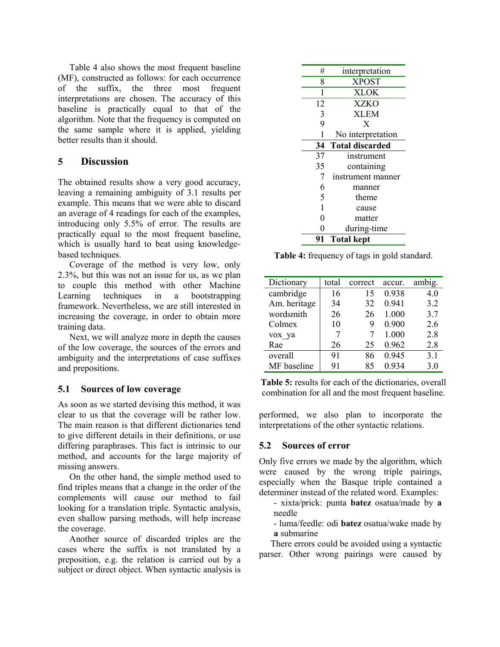<span id="page-5-0"></span>Table 4 also shows the most frequent baseline (MF), constructed as follows: for each occurrence of the suffix, the three most frequent interpretations are chosen. The accuracy of this baseline is practically equal to that of the algorithm. Note that the frequency is computed on the same sample where it is applied, yielding better results than it should.

### **5 Discussion**

The obtained results show a very good accuracy, leaving a remaining ambiguity of 3.1 results per example. This means that we were able to discard an average of 4 readings for each of the examples, introducing only 5.5% of error. The results are practically equal to the most frequent baseline, which is usually hard to beat using knowledgebased techniques.

Coverage of the method is very low, only 2.3%, but this was not an issue for us, as we plan to couple this method with other Machine Learning techniques in a bootstrapping framework. Nevertheless, we are still interested in increasing the coverage, in order to obtain more training data.

Next, we will analyze more in depth the causes of the low coverage, the sources of the errors and ambiguity and the interpretations of case suffixes and prepositions.

### **5.1 Sources of low coverage**

As soon as we started devising this method, it was clear to us that the coverage will be rather low. The main reason is that different dictionaries tend to give different details in their definitions, or use differing paraphrases. This fact is intrinsic to our method, and accounts for the large majority of missing answers.

On the other hand, the simple method used to find triples means that a change in the order of the complements will cause our method to fail looking for a translation triple. Syntactic analysis, even shallow parsing methods, will help increase the coverage.

Another source of discarded triples are the cases where the suffix is not translated by a preposition, e.g. the relation is carried out by a subject or direct object. When syntactic analysis is

| #              | interpretation         |
|----------------|------------------------|
|                |                        |
| 8              | <b>XPOST</b>           |
| 1              | <b>XLOK</b>            |
| 12             | <b>XZKO</b>            |
| 3              | <b>XLEM</b>            |
| $\overline{9}$ | X                      |
| 1              | No interpretation      |
| 34             | <b>Total discarded</b> |
| 37             | instrument             |
| 35             | containing             |
| 7              | instrument manner      |
| 6              | manner                 |
| 5              | theme                  |
| 1              | cause                  |
| $\overline{0}$ | matter                 |
| $\overline{0}$ | during-time            |
| 91             | <b>Total kept</b>      |

**Table 4:** frequency of tags in gold standard.

| Dictionary   | total | correct | accur. | ambig. |
|--------------|-------|---------|--------|--------|
| cambridge    | 16    | 15      | 0.938  | 4.0    |
| Am. heritage | 34    | 32      | 0.941  | 3.2    |
| wordsmith    | 26    | 26      | 1.000  | 3.7    |
| Colmex       | 10    | 9       | 0.900  | 2.6    |
| vox ya       |       |         | 1.000  | 2.8    |
| Rae          | 26    | 25      | 0.962  | 2.8    |
| overall      | 91    | 86      | 0.945  | 3.1    |
| MF baseline  | 91    | 85      | 0.934  | 3.0    |

**Table 5:** results for each of the dictionaries, overall combination for all and the most frequent baseline.

performed, we also plan to incorporate the interpretations of the other syntactic relations.

### **5.2 Sources of error**

Only five errors we made by the algorithm, which were caused by the wrong triple pairings, especially when the Basque triple contained a determiner instead of the related word. Examples:

- xixta/prick: punta **batez** osatua/made by **a** needle

- luma/feedle: odi **batez** osatua/wake made by **a** submarine

There errors could be avoided using a syntactic parser. Other wrong pairings were caused by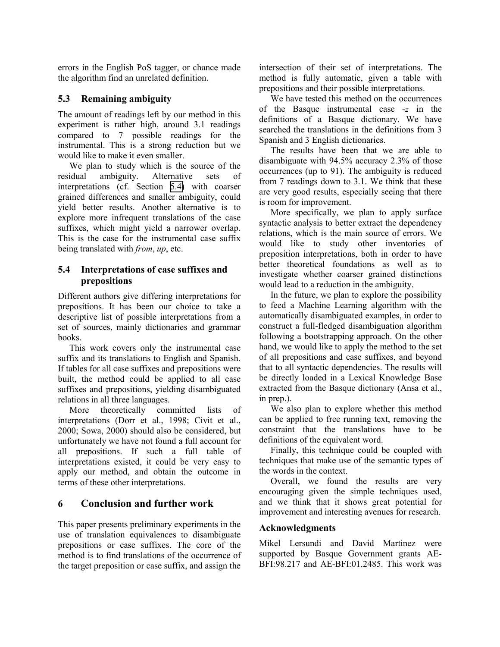<span id="page-6-0"></span>errors in the English PoS tagger, or chance made the algorithm find an unrelated definition.

### **5.3 Remaining ambiguity**

The amount of readings left by our method in this experiment is rather high, around 3.1 readings compared to 7 possible readings for the instrumental. This is a strong reduction but we would like to make it even smaller.

We plan to study which is the source of the residual ambiguity. Alternative sets of interpretations (cf. Section 5.4) with coarser grained differences and smaller ambiguity, could yield better results. Another alternative is to explore more infrequent translations of the case suffixes, which might yield a narrower overlap. This is the case for the instrumental case suffix being translated with *from*, *up*, etc.

#### **5.4 Interpretations of case suffixes and prepositions**

Different authors give differing interpretations for prepositions. It has been our choice to take a descriptive list of possible interpretations from a set of sources, mainly dictionaries and grammar books.

This work covers only the instrumental case suffix and its translations to English and Spanish. If tables for all case suffixes and prepositions were built, the method could be applied to all case suffixes and prepositions, yielding disambiguated relations in all three languages.

More theoretically committed lists of interpretations (Dorr et al., 1998; Civit et al., 2000; Sowa, 2000) should also be considered, but unfortunately we have not found a full account for all prepositions. If such a full table of interpretations existed, it could be very easy to apply our method, and obtain the outcome in terms of these other interpretations.

### **6 Conclusion and further work**

This paper presents preliminary experiments in the use of translation equivalences to disambiguate prepositions or case suffixes. The core of the method is to find translations of the occurrence of the target preposition or case suffix, and assign the

intersection of their set of interpretations. The method is fully automatic, given a table with prepositions and their possible interpretations.

We have tested this method on the occurrences of the Basque instrumental case *-z* in the definitions of a Basque dictionary. We have searched the translations in the definitions from 3 Spanish and 3 English dictionaries.

The results have been that we are able to disambiguate with 94.5% accuracy 2.3% of those occurrences (up to 91). The ambiguity is reduced from 7 readings down to 3.1. We think that these are very good results, especially seeing that there is room for improvement.

More specifically, we plan to apply surface syntactic analysis to better extract the dependency relations, which is the main source of errors. We would like to study other inventories of preposition interpretations, both in order to have better theoretical foundations as well as to investigate whether coarser grained distinctions would lead to a reduction in the ambiguity.

In the future, we plan to explore the possibility to feed a Machine Learning algorithm with the automatically disambiguated examples, in order to construct a full-fledged disambiguation algorithm following a bootstrapping approach. On the other hand, we would like to apply the method to the set of all prepositions and case suffixes, and beyond that to all syntactic dependencies. The results will be directly loaded in a Lexical Knowledge Base extracted from the Basque dictionary (Ansa et al., in prep.).

We also plan to explore whether this method can be applied to free running text, removing the constraint that the translations have to be definitions of the equivalent word.

Finally, this technique could be coupled with techniques that make use of the semantic types of the words in the context.

Overall, we found the results are very encouraging given the simple techniques used, and we think that it shows great potential for improvement and interesting avenues for research.

#### **Acknowledgments**

Mikel Lersundi and David Martinez were supported by Basque Government grants AE-BFI:98.217 and AE-BFI:01.2485. This work was